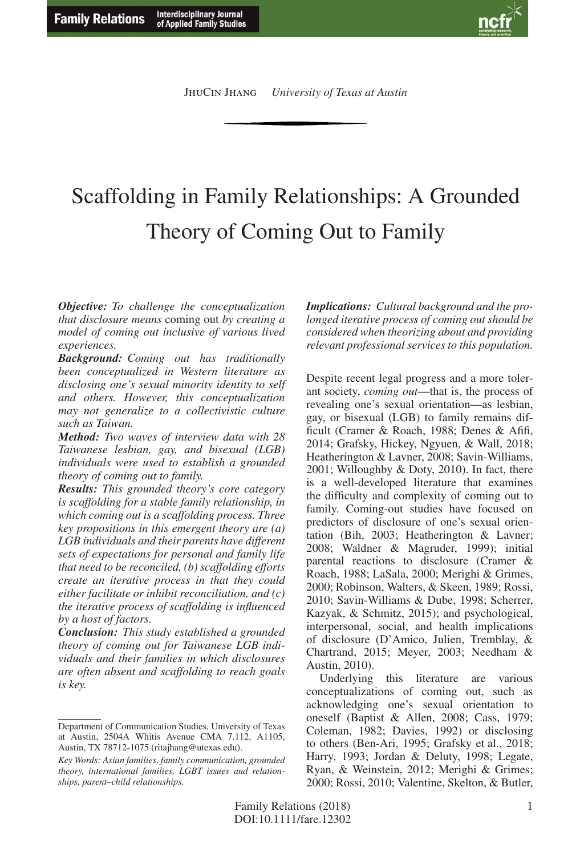

# Scaffolding in Family Relationships: A Grounded Theory of Coming Out to Family

*Objective: To challenge the conceptualization that disclosure means* coming out *by creating a model of coming out inclusive of various lived experiences.*

*Background: Coming out has traditionally been conceptualized in Western literature as disclosing one's sexual minority identity to self and others. However, this conceptualization may not generalize to a collectivistic culture such as Taiwan.*

*Method: Two waves of interview data with 28 Taiwanese lesbian, gay, and bisexual (LGB) individuals were used to establish a grounded theory of coming out to family.*

*Results: This grounded theory's core category is scaffolding for a stable family relationship, in which coming out is a scaffolding process. Three key propositions in this emergent theory are (a) LGB individuals and their parents have different sets of expectations for personal and family life that need to be reconciled, (b) scaffolding efforts create an iterative process in that they could either facilitate or inhibit reconciliation, and (c) the iterative process of scaffolding is influenced by a host of factors.*

*Conclusion: This study established a grounded theory of coming out for Taiwanese LGB individuals and their families in which disclosures are often absent and scaffolding to reach goals is key.*

*Implications: Cultural background and the prolonged iterative process of coming out should be considered when theorizing about and providing relevant professional services to this population.*

Despite recent legal progress and a more tolerant society, *coming out*—that is, the process of revealing one's sexual orientation—as lesbian, gay, or bisexual (LGB) to family remains difficult (Cramer & Roach, 1988; Denes & Afifi, 2014; Grafsky, Hickey, Ngyuen, & Wall, 2018; Heatherington & Lavner, 2008; Savin-Williams, 2001; Willoughby & Doty, 2010). In fact, there is a well-developed literature that examines the difficulty and complexity of coming out to family. Coming-out studies have focused on predictors of disclosure of one's sexual orientation (Bih, 2003; Heatherington & Lavner; 2008; Waldner & Magruder, 1999); initial parental reactions to disclosure (Cramer & Roach, 1988; LaSala, 2000; Merighi & Grimes, 2000; Robinson, Walters, & Skeen, 1989; Rossi, 2010; Savin-Williams & Dube, 1998; Scherrer, Kazyak, & Schmitz, 2015); and psychological, interpersonal, social, and health implications of disclosure (D'Amico, Julien, Tremblay, & Chartrand, 2015; Meyer, 2003; Needham & Austin, 2010).

Underlying this literature are various conceptualizations of coming out, such as acknowledging one's sexual orientation to oneself (Baptist & Allen, 2008; Cass, 1979; Coleman, 1982; Davies, 1992) or disclosing to others (Ben-Ari, 1995; Grafsky et al., 2018; Harry, 1993; Jordan & Deluty, 1998; Legate, Ryan, & Weinstein, 2012; Merighi & Grimes; 2000; Rossi, 2010; Valentine, Skelton, & Butler,

Department of Communication Studies, University of Texas at Austin, 2504A Whitis Avenue CMA 7.112, A1105, Austin, TX 78712-1075 (ritajhang@utexas.edu).

*Key Words: Asian families, family communication, grounded theory, international families, LGBT issues and relationships, parent–child relationships.*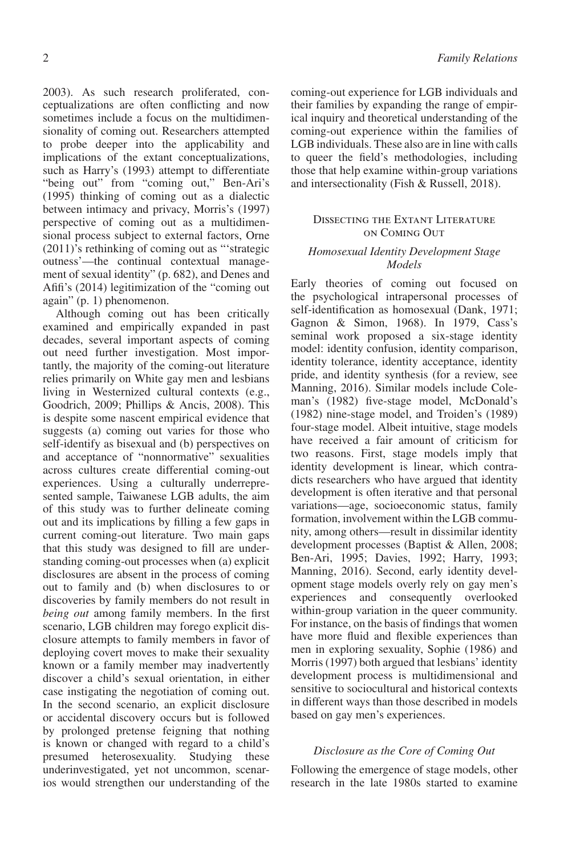2003). As such research proliferated, conceptualizations are often conflicting and now sometimes include a focus on the multidimensionality of coming out. Researchers attempted to probe deeper into the applicability and implications of the extant conceptualizations, such as Harry's (1993) attempt to differentiate "being out" from "coming out," Ben-Ari's (1995) thinking of coming out as a dialectic between intimacy and privacy, Morris's (1997) perspective of coming out as a multidimensional process subject to external factors, Orne (2011)'s rethinking of coming out as "'strategic outness'—the continual contextual management of sexual identity" (p. 682), and Denes and Afifi's (2014) legitimization of the "coming out again" (p. 1) phenomenon.

Although coming out has been critically examined and empirically expanded in past decades, several important aspects of coming out need further investigation. Most importantly, the majority of the coming-out literature relies primarily on White gay men and lesbians living in Westernized cultural contexts (e.g., Goodrich, 2009; Phillips & Ancis, 2008). This is despite some nascent empirical evidence that suggests (a) coming out varies for those who self-identify as bisexual and (b) perspectives on and acceptance of "nonnormative" sexualities across cultures create differential coming-out experiences. Using a culturally underrepresented sample, Taiwanese LGB adults, the aim of this study was to further delineate coming out and its implications by filling a few gaps in current coming-out literature. Two main gaps that this study was designed to fill are understanding coming-out processes when (a) explicit disclosures are absent in the process of coming out to family and (b) when disclosures to or discoveries by family members do not result in *being out* among family members. In the first scenario, LGB children may forego explicit disclosure attempts to family members in favor of deploying covert moves to make their sexuality known or a family member may inadvertently discover a child's sexual orientation, in either case instigating the negotiation of coming out. In the second scenario, an explicit disclosure or accidental discovery occurs but is followed by prolonged pretense feigning that nothing is known or changed with regard to a child's presumed heterosexuality. Studying these underinvestigated, yet not uncommon, scenarios would strengthen our understanding of the

coming-out experience for LGB individuals and their families by expanding the range of empirical inquiry and theoretical understanding of the coming-out experience within the families of LGB individuals. These also are in line with calls to queer the field's methodologies, including those that help examine within-group variations and intersectionality (Fish & Russell, 2018).

## Dissecting the Extant Literature on Coming Out

## *Homosexual Identity Development Stage Models*

Early theories of coming out focused on the psychological intrapersonal processes of self-identification as homosexual (Dank, 1971; Gagnon & Simon, 1968). In 1979, Cass's seminal work proposed a six-stage identity model: identity confusion, identity comparison, identity tolerance, identity acceptance, identity pride, and identity synthesis (for a review, see Manning, 2016). Similar models include Coleman's (1982) five-stage model, McDonald's (1982) nine-stage model, and Troiden's (1989) four-stage model. Albeit intuitive, stage models have received a fair amount of criticism for two reasons. First, stage models imply that identity development is linear, which contradicts researchers who have argued that identity development is often iterative and that personal variations—age, socioeconomic status, family formation, involvement within the LGB community, among others—result in dissimilar identity development processes (Baptist & Allen, 2008; Ben-Ari, 1995; Davies, 1992; Harry, 1993; Manning, 2016). Second, early identity development stage models overly rely on gay men's experiences and consequently overlooked within-group variation in the queer community. For instance, on the basis of findings that women have more fluid and flexible experiences than men in exploring sexuality, Sophie (1986) and Morris (1997) both argued that lesbians' identity development process is multidimensional and sensitive to sociocultural and historical contexts in different ways than those described in models based on gay men's experiences.

## *Disclosure as the Core of Coming Out*

Following the emergence of stage models, other research in the late 1980s started to examine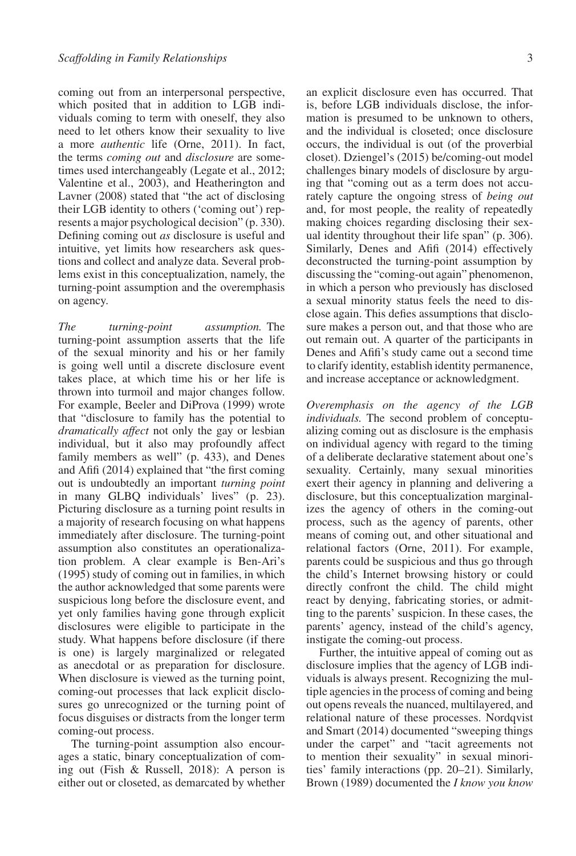coming out from an interpersonal perspective, which posited that in addition to LGB individuals coming to term with oneself, they also need to let others know their sexuality to live a more *authentic* life (Orne, 2011). In fact, the terms *coming out* and *disclosure* are sometimes used interchangeably (Legate et al., 2012; Valentine et al., 2003), and Heatherington and Lavner (2008) stated that "the act of disclosing their LGB identity to others ('coming out') represents a major psychological decision" (p. 330). Defining coming out *as* disclosure is useful and intuitive, yet limits how researchers ask questions and collect and analyze data. Several problems exist in this conceptualization, namely, the turning-point assumption and the overemphasis on agency.

*The turning-point assumption.* The turning-point assumption asserts that the life of the sexual minority and his or her family is going well until a discrete disclosure event takes place, at which time his or her life is thrown into turmoil and major changes follow. For example, Beeler and DiProva (1999) wrote that "disclosure to family has the potential to *dramatically affect* not only the gay or lesbian individual, but it also may profoundly affect family members as well" (p. 433), and Denes and Afifi (2014) explained that "the first coming out is undoubtedly an important *turning point* in many GLBQ individuals' lives" (p. 23). Picturing disclosure as a turning point results in a majority of research focusing on what happens immediately after disclosure. The turning-point assumption also constitutes an operationalization problem. A clear example is Ben-Ari's (1995) study of coming out in families, in which the author acknowledged that some parents were suspicious long before the disclosure event, and yet only families having gone through explicit disclosures were eligible to participate in the study. What happens before disclosure (if there is one) is largely marginalized or relegated as anecdotal or as preparation for disclosure. When disclosure is viewed as the turning point, coming-out processes that lack explicit disclosures go unrecognized or the turning point of focus disguises or distracts from the longer term coming-out process.

The turning-point assumption also encourages a static, binary conceptualization of coming out (Fish & Russell, 2018): A person is either out or closeted, as demarcated by whether

an explicit disclosure even has occurred. That is, before LGB individuals disclose, the information is presumed to be unknown to others, and the individual is closeted; once disclosure occurs, the individual is out (of the proverbial closet). Dziengel's (2015) be/coming-out model challenges binary models of disclosure by arguing that "coming out as a term does not accurately capture the ongoing stress of *being out* and, for most people, the reality of repeatedly making choices regarding disclosing their sexual identity throughout their life span" (p. 306). Similarly, Denes and Afifi (2014) effectively deconstructed the turning-point assumption by discussing the "coming-out again" phenomenon, in which a person who previously has disclosed a sexual minority status feels the need to disclose again. This defies assumptions that disclosure makes a person out, and that those who are out remain out. A quarter of the participants in Denes and Afifi's study came out a second time to clarify identity, establish identity permanence, and increase acceptance or acknowledgment.

*Overemphasis on the agency of the LGB individuals.* The second problem of conceptualizing coming out as disclosure is the emphasis on individual agency with regard to the timing of a deliberate declarative statement about one's sexuality. Certainly, many sexual minorities exert their agency in planning and delivering a disclosure, but this conceptualization marginalizes the agency of others in the coming-out process, such as the agency of parents, other means of coming out, and other situational and relational factors (Orne, 2011). For example, parents could be suspicious and thus go through the child's Internet browsing history or could directly confront the child. The child might react by denying, fabricating stories, or admitting to the parents' suspicion. In these cases, the parents' agency, instead of the child's agency, instigate the coming-out process.

Further, the intuitive appeal of coming out as disclosure implies that the agency of LGB individuals is always present. Recognizing the multiple agencies in the process of coming and being out opens reveals the nuanced, multilayered, and relational nature of these processes. Nordqvist and Smart (2014) documented "sweeping things under the carpet" and "tacit agreements not to mention their sexuality" in sexual minorities' family interactions (pp. 20–21). Similarly, Brown (1989) documented the *I know you know*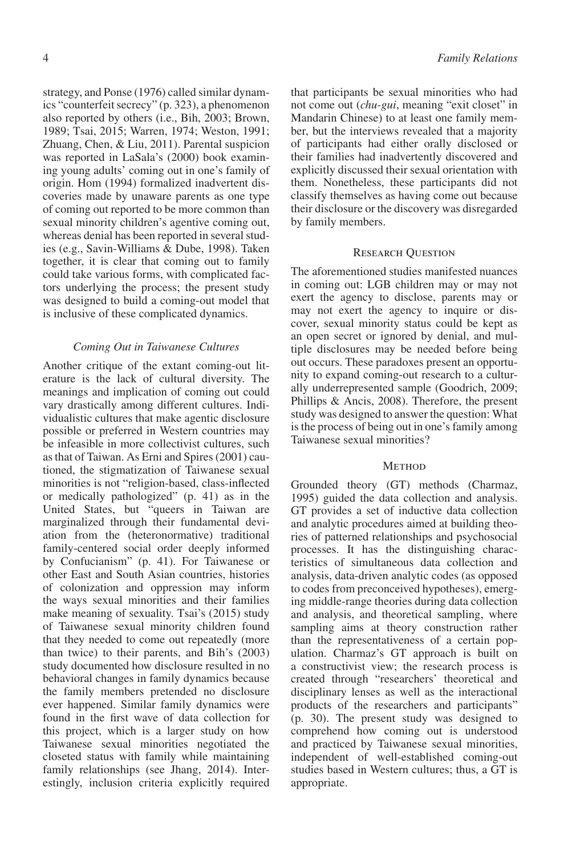strategy, and Ponse (1976) called similar dynamics "counterfeit secrecy" (p. 323), a phenomenon also reported by others (i.e., Bih, 2003; Brown, 1989; Tsai, 2015; Warren, 1974; Weston, 1991; Zhuang, Chen, & Liu, 2011). Parental suspicion was reported in LaSala's (2000) book examining young adults' coming out in one's family of origin. Hom (1994) formalized inadvertent discoveries made by unaware parents as one type of coming out reported to be more common than sexual minority children's agentive coming out, whereas denial has been reported in several studies (e.g., Savin-Williams & Dube, 1998). Taken together, it is clear that coming out to family could take various forms, with complicated factors underlying the process; the present study was designed to build a coming-out model that is inclusive of these complicated dynamics.

## *Coming Out in Taiwanese Cultures*

Another critique of the extant coming-out literature is the lack of cultural diversity. The meanings and implication of coming out could vary drastically among different cultures. Individualistic cultures that make agentic disclosure possible or preferred in Western countries may be infeasible in more collectivist cultures, such as that of Taiwan. As Erni and Spires (2001) cautioned, the stigmatization of Taiwanese sexual minorities is not "religion-based, class-inflected or medically pathologized" (p. 41) as in the United States, but "queers in Taiwan are marginalized through their fundamental deviation from the (heteronormative) traditional family-centered social order deeply informed by Confucianism" (p. 41). For Taiwanese or other East and South Asian countries, histories of colonization and oppression may inform the ways sexual minorities and their families make meaning of sexuality. Tsai's (2015) study of Taiwanese sexual minority children found that they needed to come out repeatedly (more than twice) to their parents, and Bih's (2003) study documented how disclosure resulted in no behavioral changes in family dynamics because the family members pretended no disclosure ever happened. Similar family dynamics were found in the first wave of data collection for this project, which is a larger study on how Taiwanese sexual minorities negotiated the closeted status with family while maintaining family relationships (see Jhang, 2014). Interestingly, inclusion criteria explicitly required

that participants be sexual minorities who had not come out (*chu-gui*, meaning "exit closet" in Mandarin Chinese) to at least one family member, but the interviews revealed that a majority of participants had either orally disclosed or their families had inadvertently discovered and explicitly discussed their sexual orientation with them. Nonetheless, these participants did not classify themselves as having come out because their disclosure or the discovery was disregarded by family members.

## Research Question

The aforementioned studies manifested nuances in coming out: LGB children may or may not exert the agency to disclose, parents may or may not exert the agency to inquire or discover, sexual minority status could be kept as an open secret or ignored by denial, and multiple disclosures may be needed before being out occurs. These paradoxes present an opportunity to expand coming-out research to a culturally underrepresented sample (Goodrich, 2009; Phillips & Ancis, 2008). Therefore, the present study was designed to answer the question: What is the process of being out in one's family among Taiwanese sexual minorities?

## **METHOD**

Grounded theory (GT) methods (Charmaz, 1995) guided the data collection and analysis. GT provides a set of inductive data collection and analytic procedures aimed at building theories of patterned relationships and psychosocial processes. It has the distinguishing characteristics of simultaneous data collection and analysis, data-driven analytic codes (as opposed to codes from preconceived hypotheses), emerging middle-range theories during data collection and analysis, and theoretical sampling, where sampling aims at theory construction rather than the representativeness of a certain population. Charmaz's GT approach is built on a constructivist view; the research process is created through "researchers' theoretical and disciplinary lenses as well as the interactional products of the researchers and participants" (p. 30). The present study was designed to comprehend how coming out is understood and practiced by Taiwanese sexual minorities, independent of well-established coming-out studies based in Western cultures; thus, a GT is appropriate.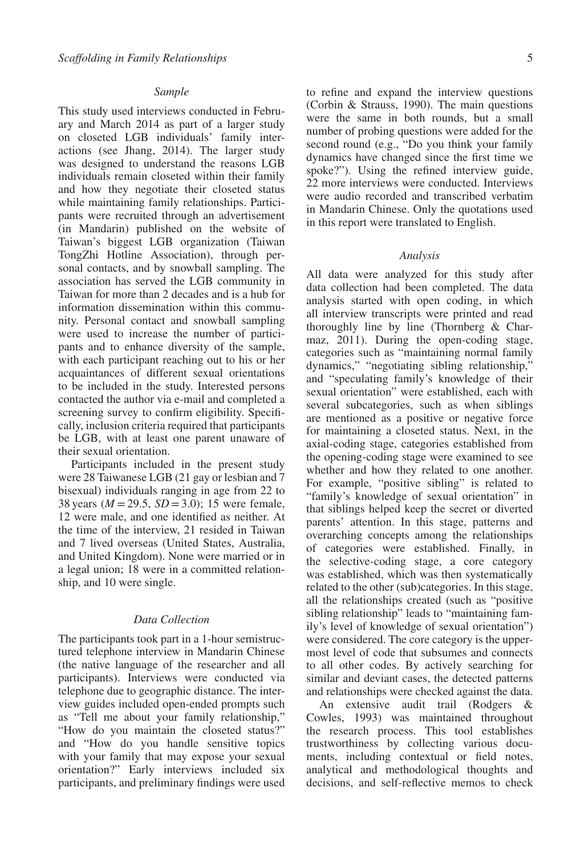## *Sample*

This study used interviews conducted in February and March 2014 as part of a larger study on closeted LGB individuals' family interactions (see Jhang, 2014). The larger study was designed to understand the reasons LGB individuals remain closeted within their family and how they negotiate their closeted status while maintaining family relationships. Participants were recruited through an advertisement (in Mandarin) published on the website of Taiwan's biggest LGB organization (Taiwan TongZhi Hotline Association), through personal contacts, and by snowball sampling. The association has served the LGB community in Taiwan for more than 2 decades and is a hub for information dissemination within this community. Personal contact and snowball sampling were used to increase the number of participants and to enhance diversity of the sample, with each participant reaching out to his or her acquaintances of different sexual orientations to be included in the study. Interested persons contacted the author via e-mail and completed a screening survey to confirm eligibility. Specifically, inclusion criteria required that participants be LGB, with at least one parent unaware of their sexual orientation.

Participants included in the present study were 28 Taiwanese LGB (21 gay or lesbian and 7 bisexual) individuals ranging in age from 22 to 38 years (*M* =29.5, *SD* =3.0); 15 were female, 12 were male, and one identified as neither. At the time of the interview, 21 resided in Taiwan and 7 lived overseas (United States, Australia, and United Kingdom). None were married or in a legal union; 18 were in a committed relationship, and 10 were single.

## *Data Collection*

The participants took part in a 1-hour semistructured telephone interview in Mandarin Chinese (the native language of the researcher and all participants). Interviews were conducted via telephone due to geographic distance. The interview guides included open-ended prompts such as "Tell me about your family relationship," "How do you maintain the closeted status?" and "How do you handle sensitive topics with your family that may expose your sexual orientation?" Early interviews included six participants, and preliminary findings were used to refine and expand the interview questions (Corbin & Strauss, 1990). The main questions were the same in both rounds, but a small number of probing questions were added for the second round (e.g., "Do you think your family dynamics have changed since the first time we spoke?"). Using the refined interview guide, 22 more interviews were conducted. Interviews were audio recorded and transcribed verbatim in Mandarin Chinese. Only the quotations used in this report were translated to English.

#### *Analysis*

All data were analyzed for this study after data collection had been completed. The data analysis started with open coding, in which all interview transcripts were printed and read thoroughly line by line (Thornberg & Charmaz, 2011). During the open-coding stage, categories such as "maintaining normal family dynamics," "negotiating sibling relationship," and "speculating family's knowledge of their sexual orientation" were established, each with several subcategories, such as when siblings are mentioned as a positive or negative force for maintaining a closeted status. Next, in the axial-coding stage, categories established from the opening-coding stage were examined to see whether and how they related to one another. For example, "positive sibling" is related to "family's knowledge of sexual orientation" in that siblings helped keep the secret or diverted parents' attention. In this stage, patterns and overarching concepts among the relationships of categories were established. Finally, in the selective-coding stage, a core category was established, which was then systematically related to the other (sub)categories. In this stage, all the relationships created (such as "positive sibling relationship" leads to "maintaining family's level of knowledge of sexual orientation") were considered. The core category is the uppermost level of code that subsumes and connects to all other codes. By actively searching for similar and deviant cases, the detected patterns and relationships were checked against the data.

An extensive audit trail (Rodgers & Cowles, 1993) was maintained throughout the research process. This tool establishes trustworthiness by collecting various documents, including contextual or field notes, analytical and methodological thoughts and decisions, and self-reflective memos to check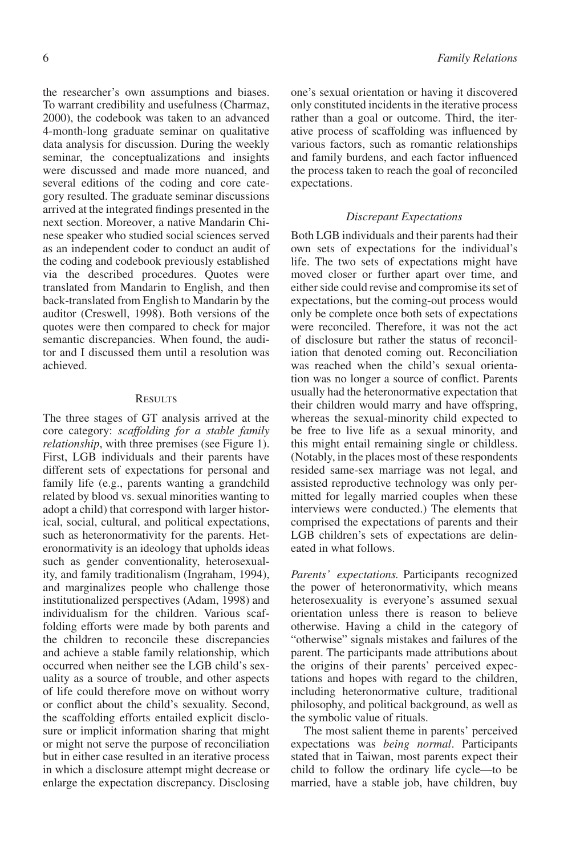the researcher's own assumptions and biases. To warrant credibility and usefulness (Charmaz, 2000), the codebook was taken to an advanced 4-month-long graduate seminar on qualitative data analysis for discussion. During the weekly seminar, the conceptualizations and insights were discussed and made more nuanced, and several editions of the coding and core category resulted. The graduate seminar discussions arrived at the integrated findings presented in the next section. Moreover, a native Mandarin Chinese speaker who studied social sciences served as an independent coder to conduct an audit of the coding and codebook previously established via the described procedures. Quotes were translated from Mandarin to English, and then back-translated from English to Mandarin by the auditor (Creswell, 1998). Both versions of the quotes were then compared to check for major semantic discrepancies. When found, the auditor and I discussed them until a resolution was achieved.

#### **RESULTS**

The three stages of GT analysis arrived at the core category: *scaffolding for a stable family relationship*, with three premises (see Figure 1). First, LGB individuals and their parents have different sets of expectations for personal and family life (e.g., parents wanting a grandchild related by blood vs. sexual minorities wanting to adopt a child) that correspond with larger historical, social, cultural, and political expectations, such as heteronormativity for the parents. Heteronormativity is an ideology that upholds ideas such as gender conventionality, heterosexuality, and family traditionalism (Ingraham, 1994), and marginalizes people who challenge those institutionalized perspectives (Adam, 1998) and individualism for the children. Various scaffolding efforts were made by both parents and the children to reconcile these discrepancies and achieve a stable family relationship, which occurred when neither see the LGB child's sexuality as a source of trouble, and other aspects of life could therefore move on without worry or conflict about the child's sexuality. Second, the scaffolding efforts entailed explicit disclosure or implicit information sharing that might or might not serve the purpose of reconciliation but in either case resulted in an iterative process in which a disclosure attempt might decrease or enlarge the expectation discrepancy. Disclosing one's sexual orientation or having it discovered only constituted incidents in the iterative process rather than a goal or outcome. Third, the iterative process of scaffolding was influenced by various factors, such as romantic relationships and family burdens, and each factor influenced the process taken to reach the goal of reconciled expectations.

#### *Discrepant Expectations*

Both LGB individuals and their parents had their own sets of expectations for the individual's life. The two sets of expectations might have moved closer or further apart over time, and either side could revise and compromise its set of expectations, but the coming-out process would only be complete once both sets of expectations were reconciled. Therefore, it was not the act of disclosure but rather the status of reconciliation that denoted coming out. Reconciliation was reached when the child's sexual orientation was no longer a source of conflict. Parents usually had the heteronormative expectation that their children would marry and have offspring, whereas the sexual-minority child expected to be free to live life as a sexual minority, and this might entail remaining single or childless. (Notably, in the places most of these respondents resided same-sex marriage was not legal, and assisted reproductive technology was only permitted for legally married couples when these interviews were conducted.) The elements that comprised the expectations of parents and their LGB children's sets of expectations are delineated in what follows.

*Parents' expectations.* Participants recognized the power of heteronormativity, which means heterosexuality is everyone's assumed sexual orientation unless there is reason to believe otherwise. Having a child in the category of "otherwise" signals mistakes and failures of the parent. The participants made attributions about the origins of their parents' perceived expectations and hopes with regard to the children, including heteronormative culture, traditional philosophy, and political background, as well as the symbolic value of rituals.

The most salient theme in parents' perceived expectations was *being normal*. Participants stated that in Taiwan, most parents expect their child to follow the ordinary life cycle—to be married, have a stable job, have children, buy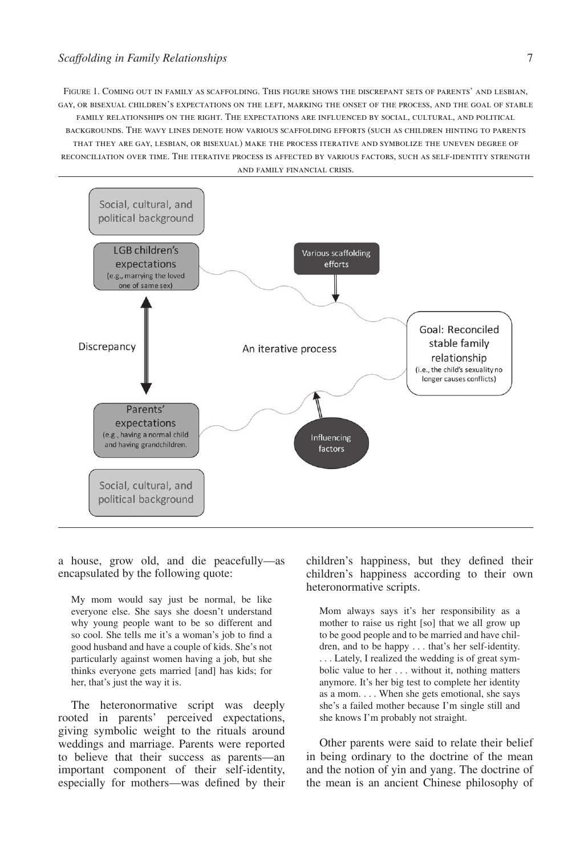FIGURE 1. Coming out in family as scaffolding. This figure shows the discrepant sets of parents' and lesbian, gay, or bisexual children's expectations on the left, marking the onset of the process, and the goal of stable family relationships on the right. The expectations are influenced by social, cultural, and political backgrounds. The wavy lines denote how various scaffolding efforts (such as children hinting to parents that they are gay, lesbian, or bisexual) make the process iterative and symbolize the uneven degree of reconciliation over time. The iterative process is affected by various factors, such as self-identity strength and family financial crisis.



a house, grow old, and die peacefully—as encapsulated by the following quote:

My mom would say just be normal, be like everyone else. She says she doesn't understand why young people want to be so different and so cool. She tells me it's a woman's job to find a good husband and have a couple of kids. She's not particularly against women having a job, but she thinks everyone gets married [and] has kids; for her, that's just the way it is.

The heteronormative script was deeply rooted in parents' perceived expectations, giving symbolic weight to the rituals around weddings and marriage. Parents were reported to believe that their success as parents—an important component of their self-identity, especially for mothers—was defined by their

children's happiness, but they defined their children's happiness according to their own heteronormative scripts.

Mom always says it's her responsibility as a mother to raise us right [so] that we all grow up to be good people and to be married and have children, and to be happy . . . that's her self-identity. . . . Lately, I realized the wedding is of great symbolic value to her . . . without it, nothing matters anymore. It's her big test to complete her identity as a mom. . . . When she gets emotional, she says she's a failed mother because I'm single still and she knows I'm probably not straight.

Other parents were said to relate their belief in being ordinary to the doctrine of the mean and the notion of yin and yang. The doctrine of the mean is an ancient Chinese philosophy of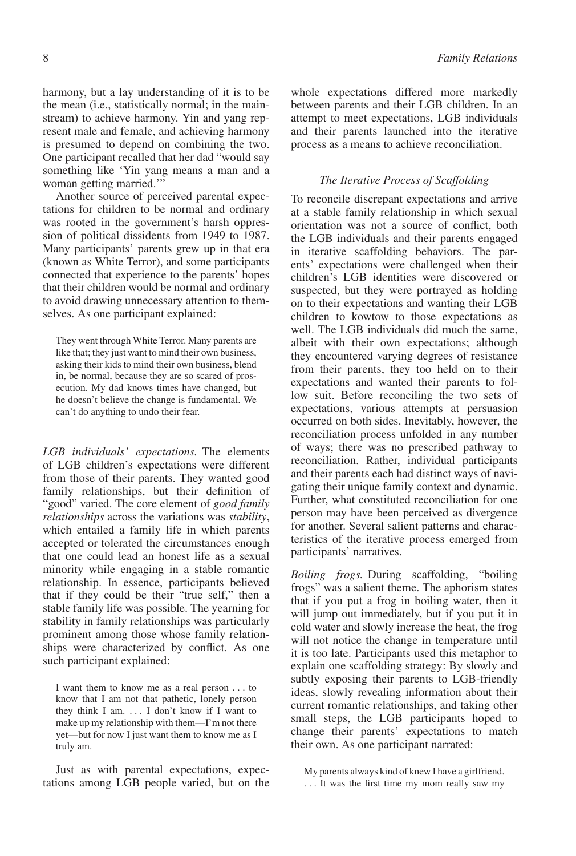harmony, but a lay understanding of it is to be the mean (i.e., statistically normal; in the mainstream) to achieve harmony. Yin and yang represent male and female, and achieving harmony is presumed to depend on combining the two. One participant recalled that her dad "would say something like 'Yin yang means a man and a woman getting married.'"

Another source of perceived parental expectations for children to be normal and ordinary was rooted in the government's harsh oppression of political dissidents from 1949 to 1987. Many participants' parents grew up in that era (known as White Terror), and some participants connected that experience to the parents' hopes that their children would be normal and ordinary to avoid drawing unnecessary attention to themselves. As one participant explained:

They went through White Terror. Many parents are like that; they just want to mind their own business, asking their kids to mind their own business, blend in, be normal, because they are so scared of prosecution. My dad knows times have changed, but he doesn't believe the change is fundamental. We can't do anything to undo their fear.

*LGB individuals' expectations.* The elements of LGB children's expectations were different from those of their parents. They wanted good family relationships, but their definition of "good" varied. The core element of *good family relationships* across the variations was *stability*, which entailed a family life in which parents accepted or tolerated the circumstances enough that one could lead an honest life as a sexual minority while engaging in a stable romantic relationship. In essence, participants believed that if they could be their "true self," then a stable family life was possible. The yearning for stability in family relationships was particularly prominent among those whose family relationships were characterized by conflict. As one such participant explained:

I want them to know me as a real person . . . to know that I am not that pathetic, lonely person they think I am. . . . I don't know if I want to make up my relationship with them—I'm not there yet—but for now I just want them to know me as I truly am.

Just as with parental expectations, expectations among LGB people varied, but on the

whole expectations differed more markedly between parents and their LGB children. In an attempt to meet expectations, LGB individuals and their parents launched into the iterative process as a means to achieve reconciliation.

## *The Iterative Process of Scaffolding*

To reconcile discrepant expectations and arrive at a stable family relationship in which sexual orientation was not a source of conflict, both the LGB individuals and their parents engaged in iterative scaffolding behaviors. The parents' expectations were challenged when their children's LGB identities were discovered or suspected, but they were portrayed as holding on to their expectations and wanting their LGB children to kowtow to those expectations as well. The LGB individuals did much the same, albeit with their own expectations; although they encountered varying degrees of resistance from their parents, they too held on to their expectations and wanted their parents to follow suit. Before reconciling the two sets of expectations, various attempts at persuasion occurred on both sides. Inevitably, however, the reconciliation process unfolded in any number of ways; there was no prescribed pathway to reconciliation. Rather, individual participants and their parents each had distinct ways of navigating their unique family context and dynamic. Further, what constituted reconciliation for one person may have been perceived as divergence for another. Several salient patterns and characteristics of the iterative process emerged from participants' narratives.

*Boiling frogs.* During scaffolding, "boiling frogs" was a salient theme. The aphorism states that if you put a frog in boiling water, then it will jump out immediately, but if you put it in cold water and slowly increase the heat, the frog will not notice the change in temperature until it is too late. Participants used this metaphor to explain one scaffolding strategy: By slowly and subtly exposing their parents to LGB-friendly ideas, slowly revealing information about their current romantic relationships, and taking other small steps, the LGB participants hoped to change their parents' expectations to match their own. As one participant narrated:

My parents always kind of knew I have a girlfriend. . . . It was the first time my mom really saw my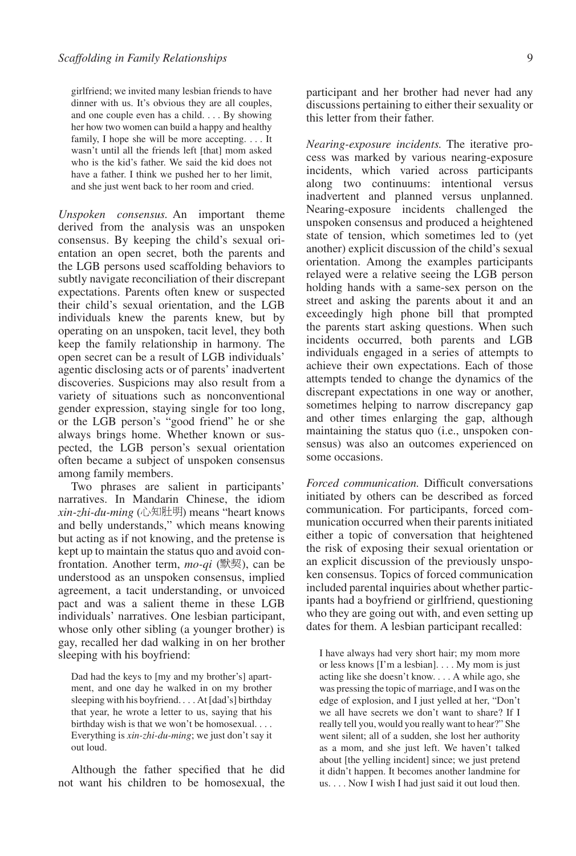girlfriend; we invited many lesbian friends to have dinner with us. It's obvious they are all couples, and one couple even has a child. . . . By showing her how two women can build a happy and healthy family, I hope she will be more accepting. . . . It wasn't until all the friends left [that] mom asked who is the kid's father. We said the kid does not have a father. I think we pushed her to her limit, and she just went back to her room and cried.

*Unspoken consensus.* An important theme derived from the analysis was an unspoken consensus. By keeping the child's sexual orientation an open secret, both the parents and the LGB persons used scaffolding behaviors to subtly navigate reconciliation of their discrepant expectations. Parents often knew or suspected their child's sexual orientation, and the LGB individuals knew the parents knew, but by operating on an unspoken, tacit level, they both keep the family relationship in harmony. The open secret can be a result of LGB individuals' agentic disclosing acts or of parents' inadvertent discoveries. Suspicions may also result from a variety of situations such as nonconventional gender expression, staying single for too long, or the LGB person's "good friend" he or she always brings home. Whether known or suspected, the LGB person's sexual orientation often became a subject of unspoken consensus among family members.

Two phrases are salient in participants' narratives. In Mandarin Chinese, the idiom *xin-zhi-du-ming* (心知肚明) means "heart knows and belly understands," which means knowing but acting as if not knowing, and the pretense is kept up to maintain the status quo and avoid confrontation. Another term,  $mo$ -qi ( $\mathbb{R}\mathbb{H}$ ), can be understood as an unspoken consensus, implied agreement, a tacit understanding, or unvoiced pact and was a salient theme in these LGB individuals' narratives. One lesbian participant, whose only other sibling (a younger brother) is gay, recalled her dad walking in on her brother sleeping with his boyfriend:

Dad had the keys to [my and my brother's] apartment, and one day he walked in on my brother sleeping with his boyfriend. . . . At [dad's] birthday that year, he wrote a letter to us, saying that his birthday wish is that we won't be homosexual. . . . Everything is *xin-zhi-du-ming*; we just don't say it out loud.

Although the father specified that he did not want his children to be homosexual, the participant and her brother had never had any discussions pertaining to either their sexuality or this letter from their father.

*Nearing-exposure incidents.* The iterative process was marked by various nearing-exposure incidents, which varied across participants along two continuums: intentional versus inadvertent and planned versus unplanned. Nearing-exposure incidents challenged the unspoken consensus and produced a heightened state of tension, which sometimes led to (yet another) explicit discussion of the child's sexual orientation. Among the examples participants relayed were a relative seeing the LGB person holding hands with a same-sex person on the street and asking the parents about it and an exceedingly high phone bill that prompted the parents start asking questions. When such incidents occurred, both parents and LGB individuals engaged in a series of attempts to achieve their own expectations. Each of those attempts tended to change the dynamics of the discrepant expectations in one way or another, sometimes helping to narrow discrepancy gap and other times enlarging the gap, although maintaining the status quo (i.e., unspoken consensus) was also an outcomes experienced on some occasions.

*Forced communication.* Difficult conversations initiated by others can be described as forced communication. For participants, forced communication occurred when their parents initiated either a topic of conversation that heightened the risk of exposing their sexual orientation or an explicit discussion of the previously unspoken consensus. Topics of forced communication included parental inquiries about whether participants had a boyfriend or girlfriend, questioning who they are going out with, and even setting up dates for them. A lesbian participant recalled:

I have always had very short hair; my mom more or less knows [I'm a lesbian]. . . . My mom is just acting like she doesn't know. . . . A while ago, she was pressing the topic of marriage, and I was on the edge of explosion, and I just yelled at her, "Don't we all have secrets we don't want to share? If I really tell you, would you really want to hear?" She went silent; all of a sudden, she lost her authority as a mom, and she just left. We haven't talked about [the yelling incident] since; we just pretend it didn't happen. It becomes another landmine for us. . . . Now I wish I had just said it out loud then.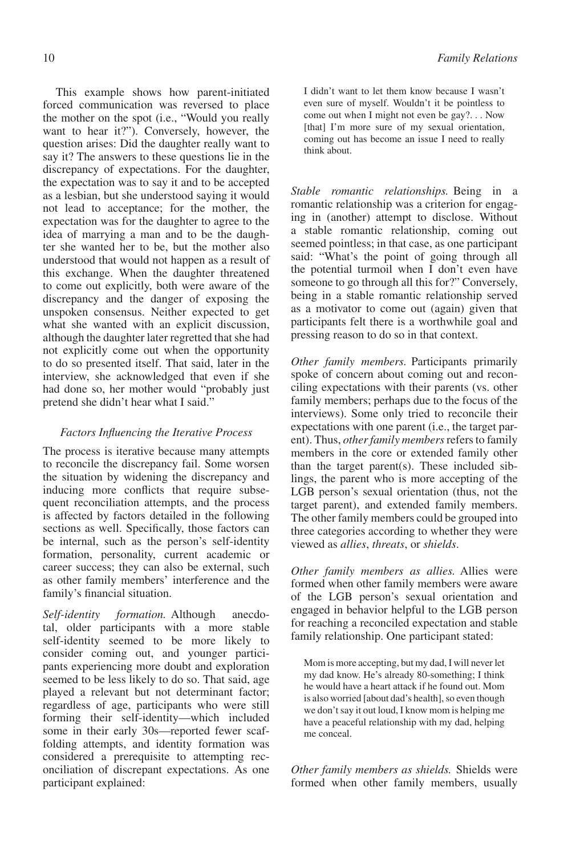This example shows how parent-initiated forced communication was reversed to place the mother on the spot (i.e., "Would you really want to hear it?"). Conversely, however, the question arises: Did the daughter really want to say it? The answers to these questions lie in the discrepancy of expectations. For the daughter, the expectation was to say it and to be accepted as a lesbian, but she understood saying it would not lead to acceptance; for the mother, the expectation was for the daughter to agree to the idea of marrying a man and to be the daughter she wanted her to be, but the mother also understood that would not happen as a result of this exchange. When the daughter threatened to come out explicitly, both were aware of the discrepancy and the danger of exposing the unspoken consensus. Neither expected to get what she wanted with an explicit discussion, although the daughter later regretted that she had not explicitly come out when the opportunity to do so presented itself. That said, later in the interview, she acknowledged that even if she had done so, her mother would "probably just pretend she didn't hear what I said."

## *Factors Influencing the Iterative Process*

The process is iterative because many attempts to reconcile the discrepancy fail. Some worsen the situation by widening the discrepancy and inducing more conflicts that require subsequent reconciliation attempts, and the process is affected by factors detailed in the following sections as well. Specifically, those factors can be internal, such as the person's self-identity formation, personality, current academic or career success; they can also be external, such as other family members' interference and the family's financial situation.

*Self-identity formation.* Although anecdotal, older participants with a more stable self-identity seemed to be more likely to consider coming out, and younger participants experiencing more doubt and exploration seemed to be less likely to do so. That said, age played a relevant but not determinant factor; regardless of age, participants who were still forming their self-identity—which included some in their early 30s—reported fewer scaffolding attempts, and identity formation was considered a prerequisite to attempting reconciliation of discrepant expectations. As one participant explained:

I didn't want to let them know because I wasn't even sure of myself. Wouldn't it be pointless to come out when I might not even be gay?. . . Now [that] I'm more sure of my sexual orientation, coming out has become an issue I need to really think about.

*Stable romantic relationships.* Being in a romantic relationship was a criterion for engaging in (another) attempt to disclose. Without a stable romantic relationship, coming out seemed pointless; in that case, as one participant said: "What's the point of going through all the potential turmoil when I don't even have someone to go through all this for?" Conversely, being in a stable romantic relationship served as a motivator to come out (again) given that participants felt there is a worthwhile goal and pressing reason to do so in that context.

*Other family members.* Participants primarily spoke of concern about coming out and reconciling expectations with their parents (vs. other family members; perhaps due to the focus of the interviews). Some only tried to reconcile their expectations with one parent (i.e., the target parent). Thus, *other family members*refers to family members in the core or extended family other than the target parent(s). These included siblings, the parent who is more accepting of the LGB person's sexual orientation (thus, not the target parent), and extended family members. The other family members could be grouped into three categories according to whether they were viewed as *allies*, *threats*, or *shields*.

*Other family members as allies.* Allies were formed when other family members were aware of the LGB person's sexual orientation and engaged in behavior helpful to the LGB person for reaching a reconciled expectation and stable family relationship. One participant stated:

Mom is more accepting, but my dad, I will never let my dad know. He's already 80-something; I think he would have a heart attack if he found out. Mom is also worried [about dad's health], so even though we don't say it out loud, I know mom is helping me have a peaceful relationship with my dad, helping me conceal.

*Other family members as shields.* Shields were formed when other family members, usually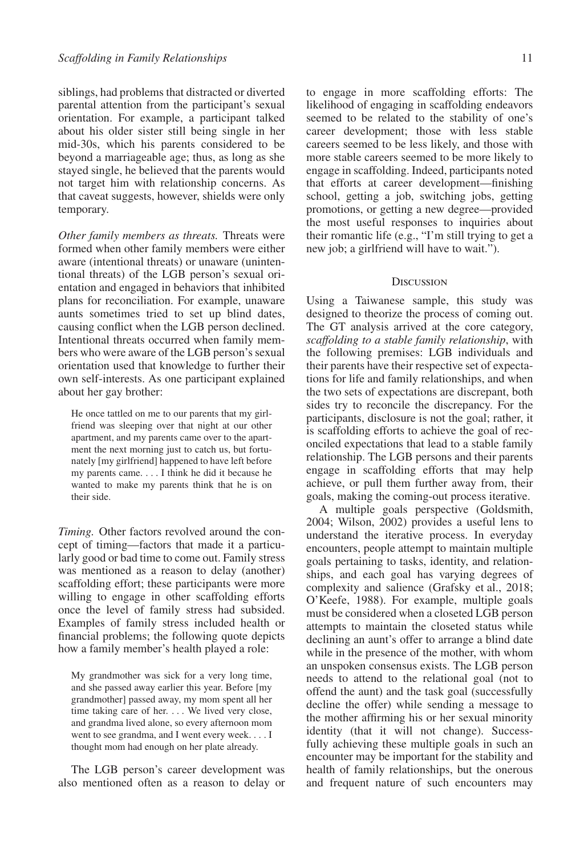siblings, had problems that distracted or diverted parental attention from the participant's sexual orientation. For example, a participant talked about his older sister still being single in her mid-30s, which his parents considered to be beyond a marriageable age; thus, as long as she stayed single, he believed that the parents would not target him with relationship concerns. As that caveat suggests, however, shields were only temporary.

*Other family members as threats.* Threats were formed when other family members were either aware (intentional threats) or unaware (unintentional threats) of the LGB person's sexual orientation and engaged in behaviors that inhibited plans for reconciliation. For example, unaware aunts sometimes tried to set up blind dates, causing conflict when the LGB person declined. Intentional threats occurred when family members who were aware of the LGB person's sexual orientation used that knowledge to further their own self-interests. As one participant explained about her gay brother:

He once tattled on me to our parents that my girlfriend was sleeping over that night at our other apartment, and my parents came over to the apartment the next morning just to catch us, but fortunately [my girlfriend] happened to have left before my parents came. . . . I think he did it because he wanted to make my parents think that he is on their side.

*Timing.* Other factors revolved around the concept of timing—factors that made it a particularly good or bad time to come out. Family stress was mentioned as a reason to delay (another) scaffolding effort; these participants were more willing to engage in other scaffolding efforts once the level of family stress had subsided. Examples of family stress included health or financial problems; the following quote depicts how a family member's health played a role:

My grandmother was sick for a very long time, and she passed away earlier this year. Before [my grandmother] passed away, my mom spent all her time taking care of her. . . . We lived very close, and grandma lived alone, so every afternoon mom went to see grandma, and I went every week. . . . I thought mom had enough on her plate already.

The LGB person's career development was also mentioned often as a reason to delay or to engage in more scaffolding efforts: The likelihood of engaging in scaffolding endeavors seemed to be related to the stability of one's career development; those with less stable careers seemed to be less likely, and those with more stable careers seemed to be more likely to engage in scaffolding. Indeed, participants noted that efforts at career development—finishing school, getting a job, switching jobs, getting promotions, or getting a new degree—provided the most useful responses to inquiries about their romantic life (e.g., "I'm still trying to get a new job; a girlfriend will have to wait.").

#### **DISCUSSION**

Using a Taiwanese sample, this study was designed to theorize the process of coming out. The GT analysis arrived at the core category, *scaffolding to a stable family relationship*, with the following premises: LGB individuals and their parents have their respective set of expectations for life and family relationships, and when the two sets of expectations are discrepant, both sides try to reconcile the discrepancy. For the participants, disclosure is not the goal; rather, it is scaffolding efforts to achieve the goal of reconciled expectations that lead to a stable family relationship. The LGB persons and their parents engage in scaffolding efforts that may help achieve, or pull them further away from, their goals, making the coming-out process iterative.

A multiple goals perspective (Goldsmith, 2004; Wilson, 2002) provides a useful lens to understand the iterative process. In everyday encounters, people attempt to maintain multiple goals pertaining to tasks, identity, and relationships, and each goal has varying degrees of complexity and salience (Grafsky et al., 2018; O'Keefe, 1988). For example, multiple goals must be considered when a closeted LGB person attempts to maintain the closeted status while declining an aunt's offer to arrange a blind date while in the presence of the mother, with whom an unspoken consensus exists. The LGB person needs to attend to the relational goal (not to offend the aunt) and the task goal (successfully decline the offer) while sending a message to the mother affirming his or her sexual minority identity (that it will not change). Successfully achieving these multiple goals in such an encounter may be important for the stability and health of family relationships, but the onerous and frequent nature of such encounters may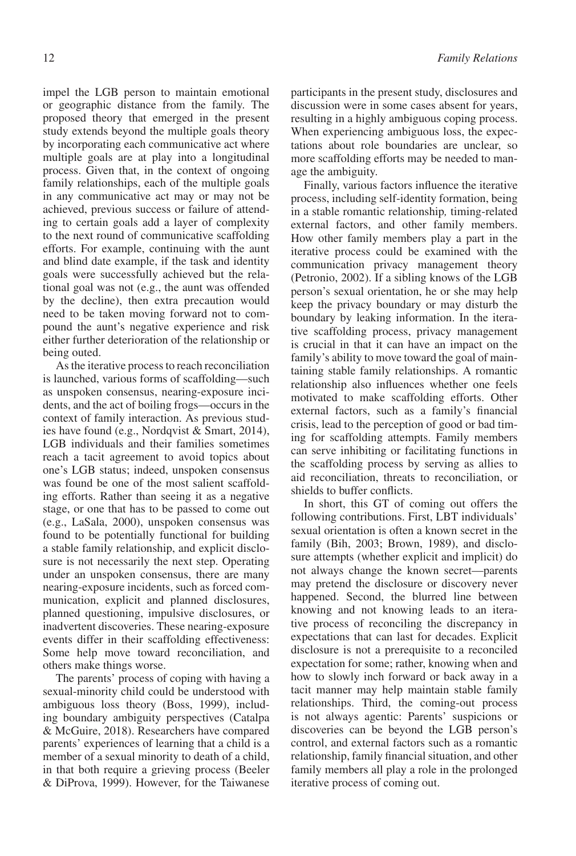impel the LGB person to maintain emotional or geographic distance from the family. The proposed theory that emerged in the present study extends beyond the multiple goals theory by incorporating each communicative act where multiple goals are at play into a longitudinal process. Given that, in the context of ongoing family relationships, each of the multiple goals in any communicative act may or may not be achieved, previous success or failure of attending to certain goals add a layer of complexity to the next round of communicative scaffolding efforts. For example, continuing with the aunt and blind date example, if the task and identity goals were successfully achieved but the relational goal was not (e.g., the aunt was offended by the decline), then extra precaution would need to be taken moving forward not to compound the aunt's negative experience and risk either further deterioration of the relationship or being outed.

As the iterative process to reach reconciliation is launched, various forms of scaffolding—such as unspoken consensus, nearing-exposure incidents, and the act of boiling frogs—occurs in the context of family interaction. As previous studies have found (e.g., Nordqvist & Smart, 2014), LGB individuals and their families sometimes reach a tacit agreement to avoid topics about one's LGB status; indeed, unspoken consensus was found be one of the most salient scaffolding efforts. Rather than seeing it as a negative stage, or one that has to be passed to come out (e.g., LaSala, 2000), unspoken consensus was found to be potentially functional for building a stable family relationship, and explicit disclosure is not necessarily the next step. Operating under an unspoken consensus, there are many nearing-exposure incidents, such as forced communication, explicit and planned disclosures, planned questioning, impulsive disclosures, or inadvertent discoveries. These nearing-exposure events differ in their scaffolding effectiveness: Some help move toward reconciliation, and others make things worse.

The parents' process of coping with having a sexual-minority child could be understood with ambiguous loss theory (Boss, 1999), including boundary ambiguity perspectives (Catalpa & McGuire, 2018). Researchers have compared parents' experiences of learning that a child is a member of a sexual minority to death of a child, in that both require a grieving process (Beeler & DiProva, 1999). However, for the Taiwanese participants in the present study, disclosures and discussion were in some cases absent for years, resulting in a highly ambiguous coping process. When experiencing ambiguous loss, the expectations about role boundaries are unclear, so more scaffolding efforts may be needed to manage the ambiguity.

Finally, various factors influence the iterative process, including self-identity formation, being in a stable romantic relationship*,* timing-related external factors, and other family members. How other family members play a part in the iterative process could be examined with the communication privacy management theory (Petronio, 2002). If a sibling knows of the LGB person's sexual orientation, he or she may help keep the privacy boundary or may disturb the boundary by leaking information. In the iterative scaffolding process, privacy management is crucial in that it can have an impact on the family's ability to move toward the goal of maintaining stable family relationships. A romantic relationship also influences whether one feels motivated to make scaffolding efforts. Other external factors, such as a family's financial crisis, lead to the perception of good or bad timing for scaffolding attempts. Family members can serve inhibiting or facilitating functions in the scaffolding process by serving as allies to aid reconciliation, threats to reconciliation, or shields to buffer conflicts.

In short, this GT of coming out offers the following contributions. First, LBT individuals' sexual orientation is often a known secret in the family (Bih, 2003; Brown, 1989), and disclosure attempts (whether explicit and implicit) do not always change the known secret—parents may pretend the disclosure or discovery never happened. Second, the blurred line between knowing and not knowing leads to an iterative process of reconciling the discrepancy in expectations that can last for decades. Explicit disclosure is not a prerequisite to a reconciled expectation for some; rather, knowing when and how to slowly inch forward or back away in a tacit manner may help maintain stable family relationships. Third, the coming-out process is not always agentic: Parents' suspicions or discoveries can be beyond the LGB person's control, and external factors such as a romantic relationship, family financial situation, and other family members all play a role in the prolonged iterative process of coming out.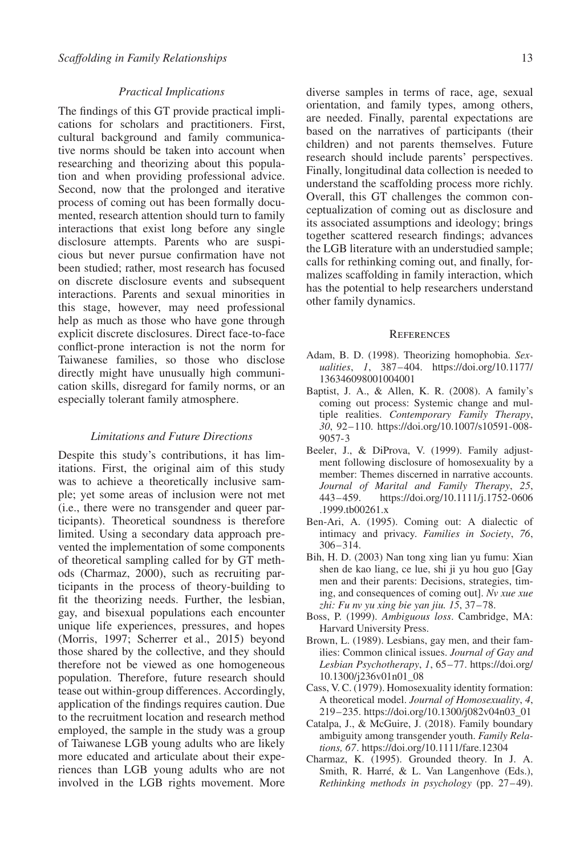## *Practical Implications*

The findings of this GT provide practical implications for scholars and practitioners. First, cultural background and family communicative norms should be taken into account when researching and theorizing about this population and when providing professional advice. Second, now that the prolonged and iterative process of coming out has been formally documented, research attention should turn to family interactions that exist long before any single disclosure attempts. Parents who are suspicious but never pursue confirmation have not been studied; rather, most research has focused on discrete disclosure events and subsequent interactions. Parents and sexual minorities in this stage, however, may need professional help as much as those who have gone through explicit discrete disclosures. Direct face-to-face conflict-prone interaction is not the norm for Taiwanese families, so those who disclose directly might have unusually high communication skills, disregard for family norms, or an especially tolerant family atmosphere.

#### *Limitations and Future Directions*

Despite this study's contributions, it has limitations. First, the original aim of this study was to achieve a theoretically inclusive sample; yet some areas of inclusion were not met (i.e., there were no transgender and queer participants). Theoretical soundness is therefore limited. Using a secondary data approach prevented the implementation of some components of theoretical sampling called for by GT methods (Charmaz, 2000), such as recruiting participants in the process of theory-building to fit the theorizing needs. Further, the lesbian, gay, and bisexual populations each encounter unique life experiences, pressures, and hopes (Morris, 1997; Scherrer et al., 2015) beyond those shared by the collective, and they should therefore not be viewed as one homogeneous population. Therefore, future research should tease out within-group differences. Accordingly, application of the findings requires caution. Due to the recruitment location and research method employed, the sample in the study was a group of Taiwanese LGB young adults who are likely more educated and articulate about their experiences than LGB young adults who are not involved in the LGB rights movement. More

diverse samples in terms of race, age, sexual orientation, and family types, among others, are needed. Finally, parental expectations are based on the narratives of participants (their children) and not parents themselves. Future research should include parents' perspectives. Finally, longitudinal data collection is needed to understand the scaffolding process more richly. Overall, this GT challenges the common conceptualization of coming out as disclosure and its associated assumptions and ideology; brings together scattered research findings; advances the LGB literature with an understudied sample; calls for rethinking coming out, and finally, formalizes scaffolding in family interaction, which has the potential to help researchers understand other family dynamics.

## **REFERENCES**

- Adam, B. D. (1998). Theorizing homophobia. *Sexualities*, *1*, 387–404. [https://doi.org/10.1177/](https://doi.org/10.1177/136346098001004001) [136346098001004001](https://doi.org/10.1177/136346098001004001)
- Baptist, J. A., & Allen, K. R. (2008). A family's coming out process: Systemic change and multiple realities. *Contemporary Family Therapy*, *30*, 92–110. [https://doi.org/10.1007/s10591-008-](https://doi.org/10.1007/s10591-008-9057-3) [9057-3](https://doi.org/10.1007/s10591-008-9057-3)
- Beeler, J., & DiProva, V. (1999). Family adjustment following disclosure of homosexuality by a member: Themes discerned in narrative accounts. *Journal of Marital and Family Therapy*, *25*, 443–459. [https://doi.org/10.1111/j.1752-0606](https://doi.org/10.1111/j.1752-0606.1999.tb00261.x) [.1999.tb00261.x](https://doi.org/10.1111/j.1752-0606.1999.tb00261.x)
- Ben-Ari, A. (1995). Coming out: A dialectic of intimacy and privacy. *Families in Society*, *76*, 306–314.
- Bih, H. D. (2003) Nan tong xing lian yu fumu: Xian shen de kao liang, ce lue, shi ji yu hou guo [Gay men and their parents: Decisions, strategies, timing, and consequences of coming out]. *Nv xue xue zhi: Fu nv yu xing bie yan jiu. 15*, 37–78.
- Boss, P. (1999). *Ambiguous loss*. Cambridge, MA: Harvard University Press.
- Brown, L. (1989). Lesbians, gay men, and their families: Common clinical issues. *Journal of Gay and Lesbian Psychotherapy*, *1*, 65–77. [https://doi.org/](https://doi.org/10.1300/j236v01n01_08) [10.1300/j236v01n01\\_08](https://doi.org/10.1300/j236v01n01_08)
- Cass, V. C. (1979). Homosexuality identity formation: A theoretical model. *Journal of Homosexuality*, *4*, 219–235. [https://doi.org/10.1300/j082v04n03\\_01](https://doi.org/10.1300/j082v04n03_01)
- Catalpa, J., & McGuire, J. (2018). Family boundary ambiguity among transgender youth. *Family Relations, 67*.<https://doi.org/10.1111/fare.12304>
- Charmaz, K. (1995). Grounded theory. In J. A. Smith, R. Harré, & L. Van Langenhove (Eds.), *Rethinking methods in psychology* (pp. 27–49).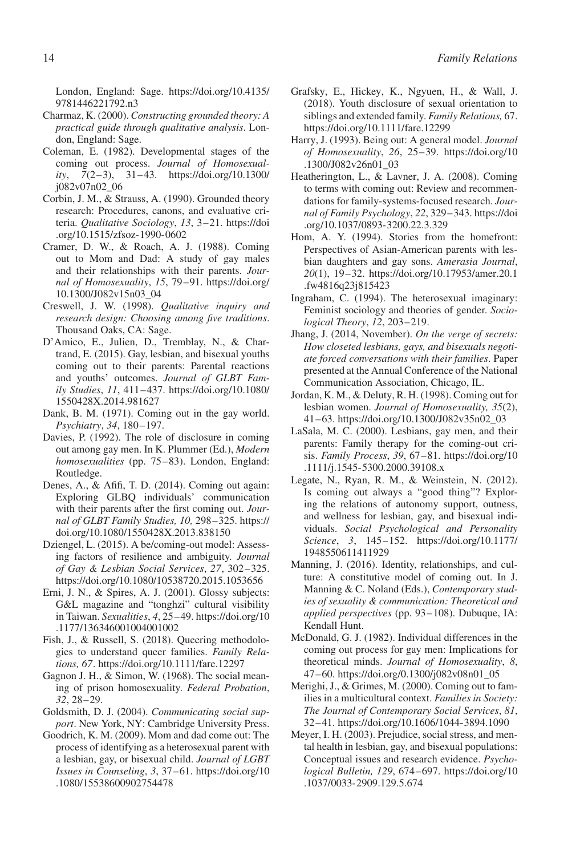London, England: Sage. [https://doi.org/10.4135/](https://doi.org/10.4135/9781446221792.n3) [9781446221792.n3](https://doi.org/10.4135/9781446221792.n3)

- Charmaz, K. (2000). *Constructing grounded theory: A practical guide through qualitative analysis*. London, England: Sage.
- Coleman, E. (1982). Developmental stages of the coming out process. *Journal of Homosexuality*, *7*(2–3), 31–43. [https://doi.org/10.1300/](https://doi.org/10.1300/j082v07n02_06) [j082v07n02\\_06](https://doi.org/10.1300/j082v07n02_06)
- Corbin, J. M., & Strauss, A. (1990). Grounded theory research: Procedures, canons, and evaluative criteria. *Qualitative Sociology*, *13*, 3–21. [https://doi](https://doi.org/10.1515/zfsoz-1990-0602) [.org/10.1515/zfsoz-1990-0602](https://doi.org/10.1515/zfsoz-1990-0602)
- Cramer, D. W., & Roach, A. J. (1988). Coming out to Mom and Dad: A study of gay males and their relationships with their parents. *Journal of Homosexuality*, *15*, 79–91. [https://doi.org/](https://doi.org/10.1300/J082v15n03_04) [10.1300/J082v15n03\\_04](https://doi.org/10.1300/J082v15n03_04)
- Creswell, J. W. (1998). *Qualitative inquiry and research design: Choosing among five traditions*. Thousand Oaks, CA: Sage.
- D'Amico, E., Julien, D., Tremblay, N., & Chartrand, E. (2015). Gay, lesbian, and bisexual youths coming out to their parents: Parental reactions and youths' outcomes. *Journal of GLBT Family Studies*, *11*, 411–437. [https://doi.org/10.1080/](https://doi.org/10.1080/1550428X.2014.981627) [1550428X.2014.981627](https://doi.org/10.1080/1550428X.2014.981627)
- Dank, B. M. (1971). Coming out in the gay world. *Psychiatry*, *34*, 180–197.
- Davies, P. (1992). The role of disclosure in coming out among gay men. In K. Plummer (Ed.), *Modern homosexualities* (pp. 75–83). London, England: Routledge.
- Denes, A., & Afifi, T. D. (2014). Coming out again: Exploring GLBQ individuals' communication with their parents after the first coming out. *Journal of GLBT Family Studies, 10,* 298–325. [https://](https://doi.org/10.1080/1550428X.2013.838150) [doi.org/10.1080/1550428X.2013.838150](https://doi.org/10.1080/1550428X.2013.838150)
- Dziengel, L. (2015). A be/coming-out model: Assessing factors of resilience and ambiguity. *Journal of Gay & Lesbian Social Services*, *27*, 302–325. <https://doi.org/10.1080/10538720.2015.1053656>
- Erni, J. N., & Spires, A. J. (2001). Glossy subjects: G&L magazine and "tonghzi" cultural visibility in Taiwan. *Sexualities*, *4*, 25–49. [https://doi.org/10](https://doi.org/10.1177/136346001004001002) [.1177/136346001004001002](https://doi.org/10.1177/136346001004001002)
- Fish, J., & Russell, S. (2018). Queering methodologies to understand queer families. *Family Relations, 67*.<https://doi.org/10.1111/fare.12297>
- Gagnon J. H., & Simon, W. (1968). The social meaning of prison homosexuality. *Federal Probation*, *32*, 28–29.
- Goldsmith, D. J. (2004). *Communicating social support*. New York, NY: Cambridge University Press.
- Goodrich, K. M. (2009). Mom and dad come out: The process of identifying as a heterosexual parent with a lesbian, gay, or bisexual child. *Journal of LGBT Issues in Counseling*, *3*, 37–61. [https://doi.org/10](https://doi.org/10.1080/15538600902754478) [.1080/15538600902754478](https://doi.org/10.1080/15538600902754478)
- Grafsky, E., Hickey, K., Ngyuen, H., & Wall, J. (2018). Youth disclosure of sexual orientation to siblings and extended family. *Family Relations,* 67. <https://doi.org/10.1111/fare.12299>
- Harry, J. (1993). Being out: A general model. *Journal of Homosexuality*, *26*, 25–39. [https://doi.org/10](https://doi.org/10.1300/J082v26n01_03) [.1300/J082v26n01\\_03](https://doi.org/10.1300/J082v26n01_03)
- Heatherington, L., & Lavner, J. A. (2008). Coming to terms with coming out: Review and recommendations for family-systems-focused research. *Journal of Family Psychology*, *22*, 329–343. [https://doi](https://doi.org/10.1037/0893-3200.22.3.329) [.org/10.1037/0893-3200.22.3.329](https://doi.org/10.1037/0893-3200.22.3.329)
- Hom, A. Y. (1994). Stories from the homefront: Perspectives of Asian-American parents with lesbian daughters and gay sons. *Amerasia Journal*, *20*(1), 19–32. [https://doi.org/10.17953/amer.20.1](https://doi.org/10.17953/amer.20.1.fw4816q23j815423) [.fw4816q23j815423](https://doi.org/10.17953/amer.20.1.fw4816q23j815423)
- Ingraham, C. (1994). The heterosexual imaginary: Feminist sociology and theories of gender. *Sociological Theory*, *12*, 203–219.
- Jhang, J. (2014, November). *On the verge of secrets: How closeted lesbians, gays, and bisexuals negotiate forced conversations with their families*. Paper presented at the Annual Conference of the National Communication Association, Chicago, IL.
- Jordan, K. M., & Deluty, R. H. (1998). Coming out for lesbian women. *Journal of Homosexuality, 35*(2), 41–63. [https://doi.org/10.1300/J082v35n02\\_03](https://doi.org/10.1300/J082v35n02_03)
- LaSala, M. C. (2000). Lesbians, gay men, and their parents: Family therapy for the coming-out crisis. *Family Process*, *39*, 67–81. [https://doi.org/10](https://doi.org/10.1111/j.1545-5300.2000.39108.x) [.1111/j.1545-5300.2000.39108.x](https://doi.org/10.1111/j.1545-5300.2000.39108.x)
- Legate, N., Ryan, R. M., & Weinstein, N. (2012). Is coming out always a "good thing"? Exploring the relations of autonomy support, outness, and wellness for lesbian, gay, and bisexual individuals. *Social Psychological and Personality Science*, *3*, 145–152. [https://doi.org/10.1177/](https://doi.org/10.1177/1948550611411929) [1948550611411929](https://doi.org/10.1177/1948550611411929)
- Manning, J. (2016). Identity, relationships, and culture: A constitutive model of coming out. In J. Manning & C. Noland (Eds.), *Contemporary studies of sexuality & communication: Theoretical and applied perspectives* (pp. 93–108). Dubuque, IA: Kendall Hunt.
- McDonald, G. J. (1982). Individual differences in the coming out process for gay men: Implications for theoretical minds. *Journal of Homosexuality*, *8*, 47–60. [https://doi.org/0.1300/j082v08n01\\_05](https://doi.org/0.1300/j082v08n01_05)
- Merighi, J., & Grimes, M. (2000). Coming out to families in a multicultural context. *Families in Society: The Journal of Contemporary Social Services*, *81*, 32–41.<https://doi.org/10.1606/1044-3894.1090>
- Meyer, I. H. (2003). Prejudice, social stress, and mental health in lesbian, gay, and bisexual populations: Conceptual issues and research evidence. *Psychological Bulletin, 129*, 674–697. [https://doi.org/10](https://doi.org/10.1037/0033-2909.129.5.674) [.1037/0033-2909.129.5.674](https://doi.org/10.1037/0033-2909.129.5.674)